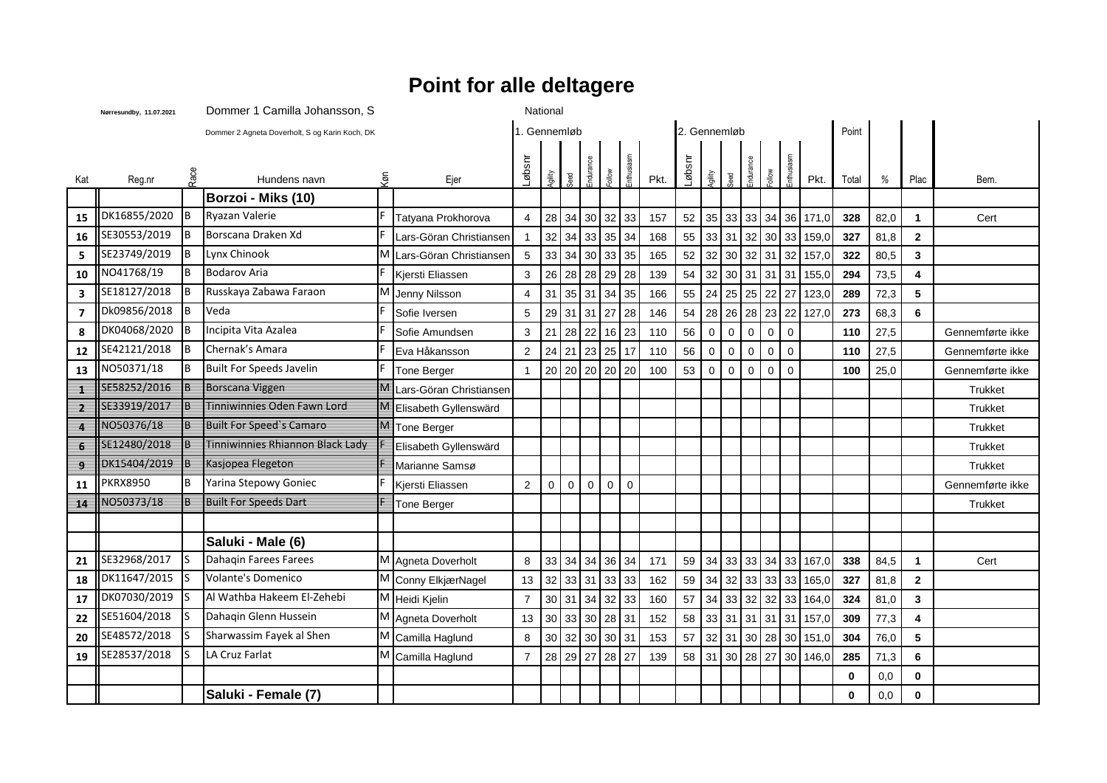## **Point for alle deltagere**

|                          | Nørresundby, 11.07.2021 |      | Dommer 1 Camilla Johansson, S                  | National |                         |                              |             |                |                 |              |                |      |        |              |             |             |                |             |                         |             |      |                |                  |
|--------------------------|-------------------------|------|------------------------------------------------|----------|-------------------------|------------------------------|-------------|----------------|-----------------|--------------|----------------|------|--------|--------------|-------------|-------------|----------------|-------------|-------------------------|-------------|------|----------------|------------------|
|                          |                         |      | Dommer 2 Agneta Doverholt, S og Karin Koch, DK |          |                         | 2. Gennemløb<br>1. Gennemløb |             |                |                 |              |                |      |        |              |             |             |                | Point       |                         |             |      |                |                  |
| Kat                      | Reg.nr                  | Race | Hundens navn                                   | (φ)      | Ejer                    | Iabsnr                       | Allip       | beed           | Endurance       | <b>Mollo</b> | Enthusiasm     | Pkt. | Løbsnr | <b>Ailip</b> | beed        | ndurance    |                | inthusi     | Pkt.                    | Total       | %    | Plac           | Bem.             |
|                          |                         |      | Borzoi - Miks (10)                             |          |                         |                              |             |                |                 |              |                |      |        |              |             |             |                |             |                         |             |      |                |                  |
| 15                       | DK16855/2020            | IB.  | Ryazan Valerie                                 |          | Tatyana Prokhorova      | $\overline{4}$               |             | 28 34          | 30 32           |              | 33             | 157  | 52     | 35           |             |             |                |             | 33 33 34 36 171,0       | 328         | 82,0 | $\overline{1}$ | Cert             |
| 16                       | SE30553/2019            | Iв   | Borscana Draken Xd                             |          | Lars-Göran Christiansen | $\mathbf{1}$                 |             | $32$ 34        | 33              | 35           | 34             | 168  | 55     | 33           |             |             |                |             | 31 32 30 33 159,0       | 327         | 81,8 | $\mathbf{2}$   |                  |
| 5                        | SE23749/2019            | lв.  | Lynx Chinook                                   | M        | Lars-Göran Christiansen | $\sqrt{5}$                   |             | $33 \mid 34$   | 30 <sub>o</sub> | 33           | 35             | 165  | 52     | 32           | 30 32 31    |             |                | 32          | 157,0                   | 322         | 80,5 | $\mathbf 3$    |                  |
| 10                       | NO41768/19              | l B  | <b>Bodarov Aria</b>                            |          | Kjersti Eliassen        | 3                            | 26          | 28             | 28              | 29           | 28             | 139  | 54     | 32           |             |             | 30 31 31 31    |             | 155,0                   | 294         | 73,5 | 4              |                  |
| $\overline{\mathbf{3}}$  | SE18127/2018            | Iв   | Russkaya Zabawa Faraon                         | м        | Jenny Nilsson           | $\overline{4}$               |             | 31   35        | 1311            | 34           | 35             | 166  | 55     | 24           |             |             | 25 25 22 27    |             | 123,0                   | 289         | 72,3 | 5              |                  |
| $\overline{\mathbf{z}}$  | Dk09856/2018            | IB.  | Veda                                           |          | Sofie Iversen           | 5                            |             |                | 29 31 31 27     |              | 28             | 146  | 54     | 28           |             |             |                |             | 26 28 23 22 127,0       | 273         | 68,3 | 6              |                  |
| 8                        | DK04068/2020            | Iв   | Incipita Vita Azalea                           |          | Sofie Amundsen          | 3                            |             |                | 21 28 22        | 16           | 23             | 110  | 56     | $\mathbf 0$  | 0           | $\mathbf 0$ | $\mathbf 0$    | $\mathbf 0$ |                         | 110         | 27,5 |                | Gennemførte ikke |
| 12                       | SE42121/2018            | Iв.  | Chernak's Amara                                |          | Eva Håkansson           | $\overline{c}$               |             |                | 24 21 23 25     |              | 17             | 110  | 56     | $\mathbf 0$  | $\mathbf 0$ | $\mathsf 0$ | $\overline{0}$ | $\pmb{0}$   |                         | 110         | 27,5 |                | Gennemførte ikke |
| 13                       | NO50371/18              | l B  | <b>Built For Speeds Javelin</b>                |          | Tone Berger             | $\mathbf{1}$                 |             |                | 20 20 20 20     |              | 20             | 100  | 53     | $\Omega$     | $\mathbf 0$ | $\mathbf 0$ | $\mathbf 0$    | $\mathbf 0$ |                         | 100         | 25,0 |                | Gennemførte ikke |
| ≢                        | SE58252/2016            |      | Borscana Viggen                                | ₩        | Lars-Göran Christiansen |                              |             |                |                 |              |                |      |        |              |             |             |                |             |                         |             |      |                | <b>Trukket</b>   |
| -2                       | SE33919/2017            |      | Tinniwinnies Oden Fawn Lord                    | M        | Elisabeth Gyllenswärd   |                              |             |                |                 |              |                |      |        |              |             |             |                |             |                         |             |      |                | Trukket          |
| $\overline{\phantom{a}}$ | NO50376/18              |      | <b>Built For Speed's Camaro</b>                | М        | Tone Berger             |                              |             |                |                 |              |                |      |        |              |             |             |                |             |                         |             |      |                | <b>Trukket</b>   |
| 6                        | SE12480/2018            |      | Tinniwinnies Rhiannon Black Lady               |          | Elisabeth Gyllenswärd   |                              |             |                |                 |              |                |      |        |              |             |             |                |             |                         |             |      |                | Trukket          |
| ு                        | DK15404/2019            | ฿    | Kasjopea Flegeton                              |          | Marianne Samsø          |                              |             |                |                 |              |                |      |        |              |             |             |                |             |                         |             |      |                | Trukket          |
| 11                       | <b>PKRX8950</b>         | B    | Yarina Stepowy Goniec                          |          | Kjersti Eliassen        | $\overline{2}$               | $\mathbf 0$ | $\overline{0}$ | $\mathbf 0$     | $\mathbf 0$  | $\overline{0}$ |      |        |              |             |             |                |             |                         |             |      |                | Gennemførte ikke |
| 14                       | NO50373/18              |      | <b>Built For Speeds Dart</b>                   |          | Tone Berger             |                              |             |                |                 |              |                |      |        |              |             |             |                |             |                         |             |      |                | <b>Trukket</b>   |
|                          |                         |      |                                                |          |                         |                              |             |                |                 |              |                |      |        |              |             |             |                |             |                         |             |      |                |                  |
|                          |                         |      | Saluki - Male (6)                              |          |                         |                              |             |                |                 |              |                |      |        |              |             |             |                |             |                         |             |      |                |                  |
| 21                       | SE32968/2017            | Is   | Dahaqin Farees Farees                          |          | M Agneta Doverholt      | 8                            |             | 33 34          | 34              | 36           | 34             | 171  | 59     | 34           |             |             | 33 33 34 33    |             | 167,0                   | 338         | 84,5 | $\overline{1}$ | Cert             |
| 18                       | DK11647/2015            |      | <b>Volante's Domenico</b>                      |          | M Conny ElkjærNagel     | 13                           | 32          | 33             | 31              | 33           | 33             | 162  | 59     | 34           |             |             | 32 33 33 33    |             | 165,0                   | 327         | 81,8 | $\overline{2}$ |                  |
| 17                       | DK07030/2019            |      | Al Wathba Hakeem El-Zehebi                     |          | M Heidi Kjelin          | $\overline{7}$               |             |                | 30 31 34        | 32           | 33             | 160  | 57     | 34           |             |             | 33 32 32 33    |             | 164,0                   | 324         | 81,0 | 3              |                  |
| 22                       | SE51604/2018            |      | Dahagin Glenn Hussein                          |          | M Agneta Doverholt      | 13                           | 30          | 33             | 30              | 28           | 31             | 152  | 58     | 33           |             |             | 31 31 31 31    |             | 157,0                   | 309         | 77,3 | 4              |                  |
| 20                       | SE48572/2018            |      | Sharwassim Fayek al Shen                       | M        | Camilla Haglund         | 8                            |             | 30 32          | 30 <sub>o</sub> | $30\,$       | 31             | 153  | 57     | 32           |             |             | 31 30 28 30    |             | 151,0                   | 304         | 76,0 | 5              |                  |
| 19                       | SE28537/2018            | ls   | LA Cruz Farlat                                 |          | M Camilla Haglund       | $\overline{7}$               |             |                | 28 29 27 28     |              | 27             | 139  |        |              |             |             |                |             | 58 31 30 28 27 30 146,0 | 285         | 71,3 | 6              |                  |
|                          |                         |      |                                                |          |                         |                              |             |                |                 |              |                |      |        |              |             |             |                |             |                         | $\mathbf 0$ | 0,0  | $\mathbf 0$    |                  |
|                          |                         |      | Saluki - Female (7)                            |          |                         |                              |             |                |                 |              |                |      |        |              |             |             |                |             |                         | $\mathbf 0$ | 0,0  | 0              |                  |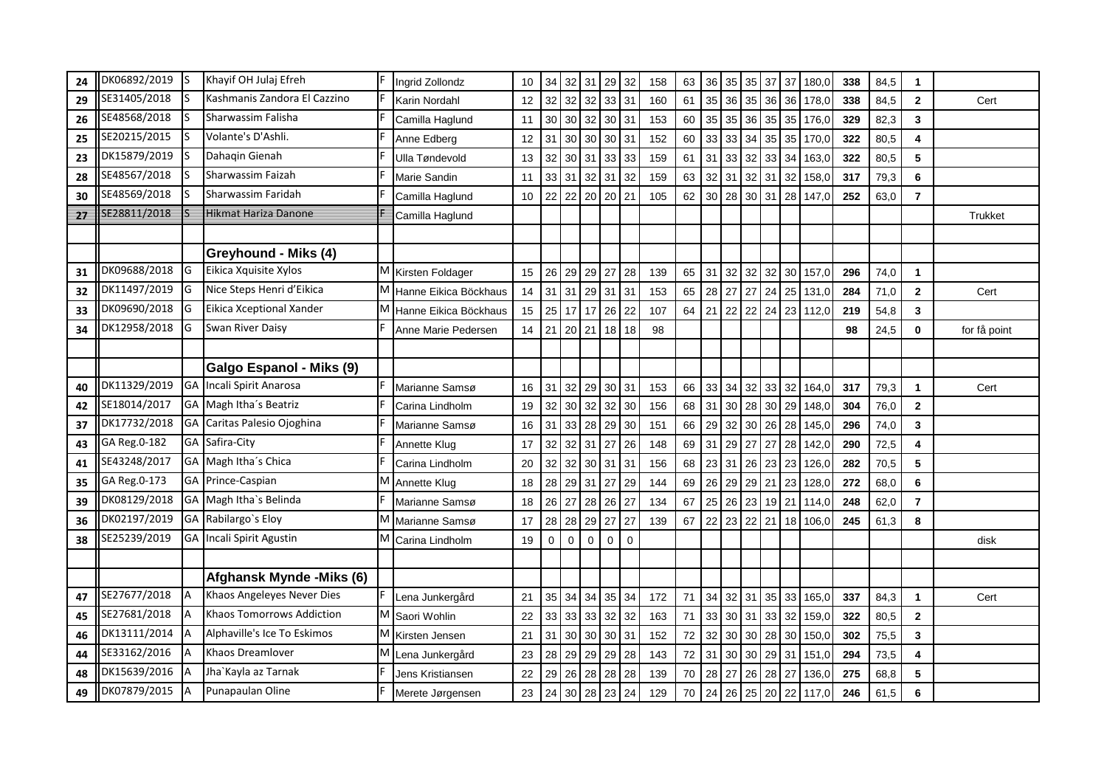| 24 | DK06892/2019 | - IS      | Khayif OH Julaj Efreh        |   | Ingrid Zollondz         | 10 | 34              | 32              | 31                                   | 29              | 32             | 158 | 63 | 36 | 35 | 35 | 37    | 37      | 180,0          | 338 | 84,5 | $\mathbf{1}$   |                |
|----|--------------|-----------|------------------------------|---|-------------------------|----|-----------------|-----------------|--------------------------------------|-----------------|----------------|-----|----|----|----|----|-------|---------|----------------|-----|------|----------------|----------------|
| 29 | SE31405/2018 |           | Kashmanis Zandora El Cazzino |   | Karin Nordahl           | 12 | 32              | 32              | $32 \mid 33 \mid 31$                 |                 |                | 160 | 61 | 35 | 36 | 35 |       |         | 36 36 178,0    | 338 | 84,5 | $\mathbf{2}$   | Cert           |
| 26 | SE48568/2018 |           | Sharwassim Falisha           |   | Camilla Haglund         | 11 |                 |                 | 30 30 32 30 31                       |                 |                | 153 | 60 | 35 | 35 | 36 |       | 35 35   | 176,0          | 329 | 82,3 | $\mathbf{3}$   |                |
| 25 | SE20215/2015 |           | Volante's D'Ashli.           |   | Anne Edberg             | 12 | 31              | 30 <sub>1</sub> | 30 <sub>1</sub>                      | 30 <sup>2</sup> | 31             | 152 | 60 | 33 | 33 | 34 | 35    | 35      | 170,0          | 322 | 80,5 | 4              |                |
| 23 | DK15879/2019 |           | Dahaqin Gienah               |   | Ulla Tøndevold          | 13 | 32              | 30 <sup>°</sup> | 31                                   | 33              | 33             | 159 | 61 | 31 | 33 | 32 | 33    | 34      | 163,0          | 322 | 80,5 | 5              |                |
| 28 | SE48567/2018 |           | Sharwassim Faizah            |   | Marie Sandin            | 11 |                 | $33 \mid 31$    | 32                                   | 31              | 32             | 159 | 63 | 32 | 31 | 32 | 31    | 32      | 158,0          | 317 | 79,3 | 6              |                |
| 30 | SE48569/2018 |           | Sharwassim Faridah           |   | Camilla Haglund         | 10 | 22              | 22              | $20$ 20 21                           |                 |                | 105 | 62 | 30 | 28 |    |       |         | 30 31 28 147,0 | 252 | 63,0 | $\overline{7}$ |                |
| 27 | SE28811/2018 |           | Hikmat Hariza Danone         |   | Camilla Haglund         |    |                 |                 |                                      |                 |                |     |    |    |    |    |       |         |                |     |      |                | <b>Trukket</b> |
|    |              |           |                              |   |                         |    |                 |                 |                                      |                 |                |     |    |    |    |    |       |         |                |     |      |                |                |
|    |              |           | Greyhound - Miks (4)         |   |                         |    |                 |                 |                                      |                 |                |     |    |    |    |    |       |         |                |     |      |                |                |
| 31 | DK09688/2018 | IG        | Eikica Xquisite Xylos        |   | M Kirsten Foldager      | 15 | 26              | 29              | 29 27                                |                 | 28             | 139 | 65 | 31 | 32 | 32 | 32    | 30      | 157,0          | 296 | 74,0 | $\mathbf{1}$   |                |
| 32 | DK11497/2019 | IG        | Nice Steps Henri d'Eikica    |   | M Hanne Eikica Böckhaus | 14 |                 |                 | $31 \mid 31 \mid 29 \mid 31 \mid 31$ |                 |                | 153 | 65 | 28 | 27 | 27 | 24 25 |         | 131,0          | 284 | 71,0 | $\bf 2$        | Cert           |
| 33 | DK09690/2018 | IG        | Eikica Xceptional Xander     | M | Hanne Eikica Böckhaus   | 15 | 25              | 17 <sup>1</sup> | 17                                   | 26              | 22             | 107 | 64 | 21 | 22 | 22 |       | 24 23   | 112,0          | 219 | 54,8 | $\mathbf{3}$   |                |
| 34 | DK12958/2018 | lG        | Swan River Daisy             |   | Anne Marie Pedersen     | 14 |                 |                 | 21 20 21 18 18                       |                 |                | 98  |    |    |    |    |       |         |                | 98  | 24,5 | 0              | for få point   |
|    |              |           |                              |   |                         |    |                 |                 |                                      |                 |                |     |    |    |    |    |       |         |                |     |      |                |                |
|    |              |           | Galgo Espanol - Miks (9)     |   |                         |    |                 |                 |                                      |                 |                |     |    |    |    |    |       |         |                |     |      |                |                |
| 40 | DK11329/2019 |           | GA Incali Spirit Anarosa     |   | Marianne Samsø          | 16 | 31              | 32              | 29                                   | 30 <sup>°</sup> | 31             | 153 | 66 | 33 | 34 | 32 | 33 32 |         | 164,0          | 317 | 79,3 | $\mathbf{1}$   | Cert           |
| 42 | SE18014/2017 |           | GA Magh Itha's Beatriz       |   | Carina Lindholm         | 19 | 32              | 30 <sup>°</sup> | 32                                   | 32              | 30             | 156 | 68 | 31 | 30 | 28 | 30 29 |         | 148,0          | 304 | 76,0 | $\mathbf{2}$   |                |
| 37 | DK17732/2018 | <b>GA</b> | Caritas Palesio Ojoghina     |   | Marianne Samsø          | 16 | 31              | 33              | 28                                   | 29              | 30             | 151 | 66 | 29 | 32 | 30 | 26 28 |         | 145,0          | 296 | 74,0 | $\mathbf{3}$   |                |
| 43 | GA Reg.0-182 |           | GA Safira-City               |   | Annette Klug            | 17 | 32              | 32              | 31                                   | 27              | 26             | 148 | 69 | 31 | 29 | 27 | 27    | 28      | 142,0          | 290 | 72,5 | 4              |                |
| 41 | SE43248/2017 |           | GA Magh Itha's Chica         |   | Carina Lindholm         | 20 | 32              |                 | 32 30 31 31                          |                 |                | 156 | 68 | 23 | 31 | 26 | 23 23 |         | 126,0          | 282 | 70,5 | ${\bf 5}$      |                |
| 35 | GA Reg.0-173 |           | GA Prince-Caspian            | Μ | Annette Klug            | 18 | 28              | 29              | 31                                   | 27              | 29             | 144 | 69 | 26 | 29 | 29 | 21    | 23      | 128,0          | 272 | 68,0 | 6              |                |
| 39 | DK08129/2018 |           | GA Magh Itha's Belinda       |   | Marianne Samsø          | 18 | 26              | 27              | 28 26                                |                 | 27             | 134 | 67 | 25 | 26 | 23 | 19 21 |         | 114,0          | 248 | 62,0 | $\overline{7}$ |                |
| 36 | DK02197/2019 |           | GA Rabilargo's Eloy          | M | Marianne Samsø          | 17 | 28              | 28              | 29                                   | 27              | 27             | 139 | 67 | 22 | 23 | 22 |       | $21$ 18 | 106,0          | 245 | 61,3 | 8              |                |
| 38 | SE25239/2019 |           | GA Incali Spirit Agustin     | M | Carina Lindholm         | 19 | $\mathbf 0$     | $\mathbf 0$     | $\mathbf 0$                          | $\mathbf 0$     | $\overline{0}$ |     |    |    |    |    |       |         |                |     |      |                | disk           |
|    |              |           |                              |   |                         |    |                 |                 |                                      |                 |                |     |    |    |    |    |       |         |                |     |      |                |                |
|    |              |           | Afghansk Mynde - Miks (6)    |   |                         |    |                 |                 |                                      |                 |                |     |    |    |    |    |       |         |                |     |      |                |                |
| 47 | SE27677/2018 |           | Khaos Angeleyes Never Dies   |   | Lena Junkergård         | 21 | 35 <sup>5</sup> | 34              | 34                                   | 35              | 34             | 172 | 71 | 34 | 32 | 31 | 35 33 |         | 165,0          | 337 | 84,3 | $\mathbf{1}$   | Cert           |
| 45 | SE27681/2018 |           | Khaos Tomorrows Addiction    | M | Saori Wohlin            | 22 |                 | 33 33           | 33 32                                |                 | 32             | 163 | 71 | 33 | 30 | 31 | 33 32 |         | 159,0          | 322 | 80,5 | $\mathbf{2}$   |                |
| 46 | DK13111/2014 |           | Alphaville's Ice To Eskimos  | M | Kirsten Jensen          | 21 |                 |                 | 31 30 30 30 31                       |                 |                | 152 | 72 | 32 | 30 | 30 |       | 28 30   | 150,0          | 302 | 75,5 | 3              |                |
| 44 | SE33162/2016 |           | Khaos Dreamlover             | M | Lena Junkergård         | 23 | 28              | 29              | 29                                   | 29              | 28             | 143 | 72 | 31 | 30 | 30 | 29 31 |         | 151,0          | 294 | 73,5 | 4              |                |
| 48 | DK15639/2016 |           | Jha`Kayla az Tarnak          |   | Jens Kristiansen        | 22 | 29              | 26              | 28                                   | 28              | 28             | 139 | 70 | 28 | 27 | 26 | 28 27 |         | 136,0          | 275 | 68,8 | 5              |                |
| 49 | DK07879/2015 | IΑ        | Punapaulan Oline             |   | Merete Jørgensen        | 23 | 24              | 30 <sup>°</sup> | 28                                   | 23              | 24             | 129 | 70 | 24 | 26 | 25 |       |         | 20 22 117,0    | 246 | 61,5 | 6              |                |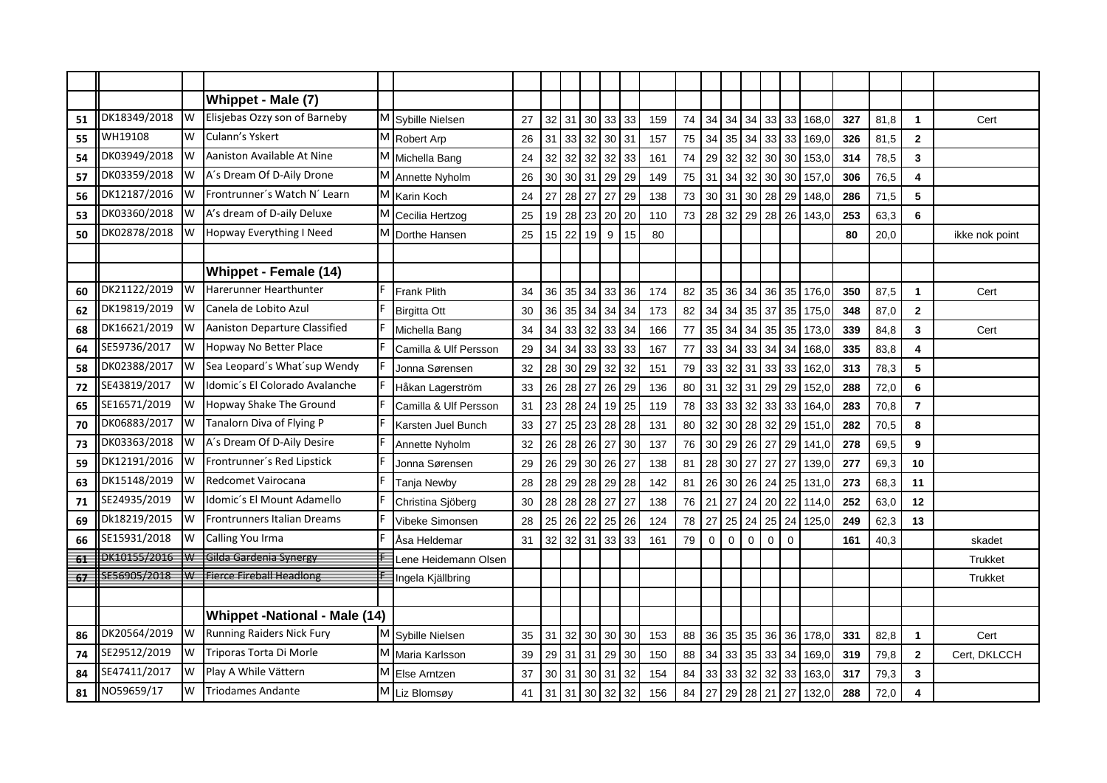|    |              |            | Whippet - Male (7)                   |                       |    |    |           |                                      |    |    |     |    |             |              |             |             |             |       |     |      |                |                |
|----|--------------|------------|--------------------------------------|-----------------------|----|----|-----------|--------------------------------------|----|----|-----|----|-------------|--------------|-------------|-------------|-------------|-------|-----|------|----------------|----------------|
| 51 | DK18349/2018 | <b>W</b>   | Elisjebas Ozzy son of Barneby        | M Sybille Nielsen     | 27 |    |           | $32 \mid 31 \mid 30 \mid 33 \mid$    |    | 33 | 159 | 74 | 34          | 34           | 34          | 33 33       |             | 168,0 | 327 | 81,8 | $\mathbf{1}$   | Cert           |
| 55 | WH19108      | W          | Culann's Yskert                      | M Robert Arp          | 26 |    |           | 31 33 32 30 31                       |    |    | 157 | 75 | 34          | 35           | 34          | 33          | 33          | 169,0 | 326 | 81.5 | $\mathbf{2}$   |                |
| 54 | DK03949/2018 | 1w         | Aaniston Available At Nine           | M Michella Bang       | 24 |    |           | 32 32 32                             | 32 | 33 | 161 | 74 | 29          | 32           | 32          | 30          | 30          | 153,0 | 314 | 78,5 | 3              |                |
| 57 | DK03359/2018 | <b>W</b>   | A's Dream Of D-Aily Drone            | M Annette Nyholm      | 26 |    |           | 30 30 31 29 29                       |    |    | 149 | 75 | 31          | 34           | 32          | 30          | 30          | 157,0 | 306 | 76,5 | 4              |                |
| 56 | DK12187/2016 | 1w         | Frontrunner's Watch N' Learn         | M Karin Koch          | 24 |    |           | 27 28 27 27 29                       |    |    | 138 | 73 | 30          | 31           | 30          | 28 29       |             | 148,0 | 286 | 71,5 | 5              |                |
| 53 | DK03360/2018 | <b>IW</b>  | A's dream of D-aily Deluxe           | M Cecilia Hertzog     | 25 |    |           | 19 28 23 20 20                       |    |    | 110 | 73 | 28          | 32           | 29          | 28          | 26          | 143.0 | 253 | 63.3 | 6              |                |
| 50 | DK02878/2018 | <b>I</b> W | Hopway Everything I Need             | M Dorthe Hansen       | 25 |    |           | $15$   22   19                       | 9  | 15 | 80  |    |             |              |             |             |             |       | 80  | 20,0 |                | ikke nok point |
|    |              |            |                                      |                       |    |    |           |                                      |    |    |     |    |             |              |             |             |             |       |     |      |                |                |
|    |              |            | Whippet - Female (14)                |                       |    |    |           |                                      |    |    |     |    |             |              |             |             |             |       |     |      |                |                |
| 60 | DK21122/2019 | IW         | Harerunner Hearthunter               | <b>Frank Plith</b>    | 34 |    |           | 36 35 34 33                          |    | 36 | 174 | 82 | 35          | 36           | 34          | 36          | 35          | 176,0 | 350 | 87.5 | $\mathbf{1}$   | Cert           |
| 62 | DK19819/2019 | 1w         | Canela de Lobito Azul                | <b>Birgitta Ott</b>   | 30 |    |           | 36 35 34 34                          |    | 34 | 173 | 82 | 34          | 34           | 35          | 37          | 35          | 175,0 | 348 | 87,0 | $\mathbf{2}$   |                |
| 68 | DK16621/2019 | 1w         | Aaniston Departure Classified        | Michella Bang         | 34 |    |           | 34 33 32 33                          |    | 34 | 166 | 77 | 35          | 34           | 34          | 35          | 35          | 173,0 | 339 | 84,8 | 3              | Cert           |
| 64 | SE59736/2017 | W          | Hopway No Better Place               | Camilla & Ulf Persson | 29 |    | $34$ 34   | 33                                   | 33 | 33 | 167 | 77 | 33          | 34           | 33          | 34          | 34          | 168,0 | 335 | 83,8 | 4              |                |
| 58 | DK02388/2017 | IW         | Sea Leopard's What'sup Wendy         | Jonna Sørensen        | 32 |    |           | 28 30 29 32 32                       |    |    | 151 | 79 | 33          | $32 \mid 31$ |             | 33 33       |             | 162,0 | 313 | 78,3 | 5              |                |
| 72 | SE43819/2017 | IW         | Idomic's El Colorado Avalanche       | Håkan Lagerström      | 33 |    |           | 26 28 27 26                          |    | 29 | 136 | 80 | 31          | 32           | 31          | 29          | 29          | 152,0 | 288 | 72,0 | 6              |                |
| 65 | SE16571/2019 | IW         | Hopway Shake The Ground              | Camilla & Ulf Persson | 31 |    |           | 23 28 24 19 25                       |    |    | 119 | 78 | 33          | 33           | 32          | 33          | 33          | 164,0 | 283 | 70,8 | $\overline{7}$ |                |
| 70 | DK06883/2017 | IW         | Tanalorn Diva of Flying P            | Karsten Juel Bunch    | 33 | 27 | 25        | 23                                   | 28 | 28 | 131 | 80 | 32          | 30           | 28          | 32          | 29          | 151,0 | 282 | 70,5 | 8              |                |
| 73 | DK03363/2018 | IW         | A's Dream Of D-Aily Desire           | Annette Nyholm        | 32 |    |           | 26 28 26 27                          |    | 30 | 137 | 76 | 30          | 29           | 26          | 27          | 29          | 141,0 | 278 | 69,5 | 9              |                |
| 59 | DK12191/2016 | 1w         | Frontrunner's Red Lipstick           | Jonna Sørensen        | 29 |    | $26$   29 | $30$   26                            |    | 27 | 138 | 81 | 28          | 30           | 27          | 27          | 27          | 139,0 | 277 | 69,3 | 10             |                |
| 63 | DK15148/2019 | Iw         | Redcomet Vairocana                   | Tanja Newby           | 28 |    | 28 29     | 28                                   | 29 | 28 | 142 | 81 | 26          | 30           | 26          | 24          | 25          | 131,0 | 273 | 68,3 | 11             |                |
| 71 | SE24935/2019 | Iw         | Idomic's El Mount Adamello           | Christina Sjöberg     | 30 |    | 28 28     | 28 27                                |    | 27 | 138 | 76 | 21          | 27           | 24          | 20          | 22          | 114,0 | 252 | 63,0 | 12             |                |
| 69 | Dk18219/2015 | Iw         | <b>I</b> Frontrunners Italian Dreams | Vibeke Simonsen       | 28 |    |           | 25 26 22 25                          |    | 26 | 124 | 78 | 27          | 25           | 24          | 25          | 24          | 125,0 | 249 | 62,3 | 13             |                |
| 66 | SE15931/2018 | Iw         | Calling You Irma                     | Åsa Heldemar          | 31 |    |           | $32 \mid 32 \mid 31 \mid 33 \mid 33$ |    |    | 161 | 79 | $\mathbf 0$ | $\mathbf 0$  | $\mathbf 0$ | $\mathbf 0$ | $\mathbf 0$ |       | 161 | 40,3 |                | skadet         |
| 61 | DK10155/2016 | ₩          | Gilda Gardenia Synergy               | Lene Heidemann Olsen  |    |    |           |                                      |    |    |     |    |             |              |             |             |             |       |     |      |                | <b>Trukket</b> |
| 67 | SE56905/2018 | IW         | <b>Fierce Fireball Headlong</b>      | Ingela Kjällbring     |    |    |           |                                      |    |    |     |    |             |              |             |             |             |       |     |      |                | Trukket        |
|    |              |            |                                      |                       |    |    |           |                                      |    |    |     |    |             |              |             |             |             |       |     |      |                |                |
|    |              |            | <b>Whippet -National - Male (14)</b> |                       |    |    |           |                                      |    |    |     |    |             |              |             |             |             |       |     |      |                |                |
| 86 | DK20564/2019 | IW         | Running Raiders Nick Fury            | M Sybille Nielsen     | 35 |    |           | $31 \mid 32 \mid 30 \mid 30 \mid 30$ |    |    | 153 | 88 | 36          |              | 35 35       | 36 36       |             | 178,0 | 331 | 82,8 | $\mathbf{1}$   | Cert           |
| 74 | SE29512/2019 | Iw         | Triporas Torta Di Morle              | M Maria Karlsson      | 39 |    |           | 29 31 31 29                          |    | 30 | 150 | 88 | 34          | 33           | 35          | 33          | 34          | 169,0 | 319 | 79,8 | $\mathbf{2}$   | Cert, DKLCCH   |
| 84 | SE47411/2017 | IW         | Play A While Vättern                 | M Else Arntzen        | 37 |    |           | 30 31 30 31                          |    | 32 | 154 | 84 | 33          | 33           | 32          | 32          | 33          | 163,0 | 317 | 79,3 | 3              |                |
| 81 | NO59659/17   | W          | <b>Triodames Andante</b>             | M Liz Blomsøy         | 41 |    |           | $31$ 31 30                           | 32 | 32 | 156 | 84 | 27          | 29           | 28          | 21          | 27          | 132,0 | 288 | 72,0 | 4              |                |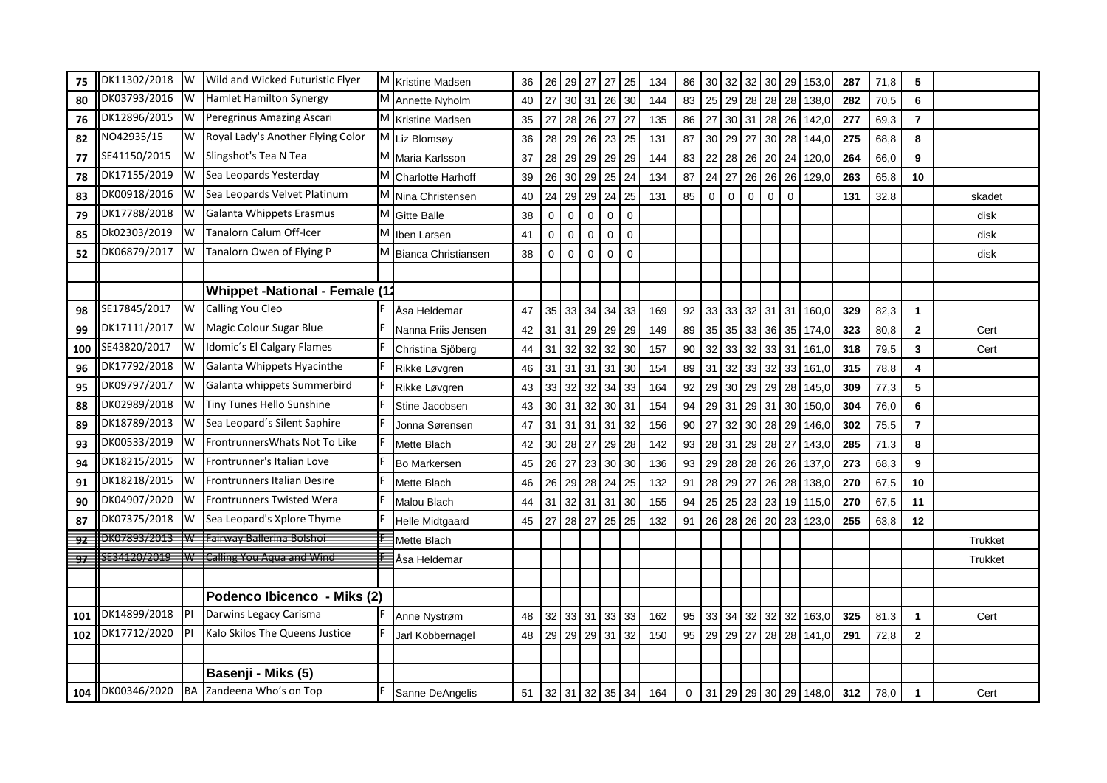| 75  | DK11302/2018 | 1w                      | Wild and Wicked Futuristic Flyer      | M | <b>Kristine Madsen</b>     | 36 | 26          | 29              | 27                           | 27              | 25             | 134 | 86          | 30       | 32          | 32          | 30          | 29          | 153,0       | 287 | 71,8 | 5               |                |
|-----|--------------|-------------------------|---------------------------------------|---|----------------------------|----|-------------|-----------------|------------------------------|-----------------|----------------|-----|-------------|----------|-------------|-------------|-------------|-------------|-------------|-----|------|-----------------|----------------|
| 80  | DK03793/2016 | Iw                      | <b>Hamlet Hamilton Synergy</b>        | M | Annette Nyholm             | 40 | 27          | 30 <sup>1</sup> | $31$ 26                      |                 | 30             | 144 | 83          | 25       | 29          | 28          |             | 28 28       | 138,0       | 282 | 70,5 | $6\phantom{1}6$ |                |
| 76  | DK12896/2015 | <b>W</b>                | Peregrinus Amazing Ascari             |   | M Kristine Madsen          | 35 | 27          | 28              | 26                           | 27              | 27             | 135 | 86          | 27       | 30          | 31          | 28 26       |             | 142,0       | 277 | 69,3 | $\overline{7}$  |                |
| 82  | NO42935/15   | W                       | Royal Lady's Another Flying Color     | M | Liz Blomsøy                | 36 | 28          | 29              | 26                           | 23              | 25             | 131 | 87          | 30       | 29          | 27          | 30          | 28          | 144,0       | 275 | 68,8 | 8               |                |
| 77  | SE41150/2015 | Iw                      | Slingshot's Tea N Tea                 | M | Maria Karlsson             | 37 | 28          | 29              | 29                           | 29              | 29             | 144 | 83          | 22       | 28          | 26          | 20 24       |             | 120,0       | 264 | 66,0 | 9               |                |
| 78  | DK17155/2019 | Iw                      | Sea Leopards Yesterday                | M | Charlotte Harhoff          | 39 | 26          | 30 <sup>°</sup> | 29                           | 25              | 24             | 134 | 87          | 24       | 27          | 26          | 26          | 26          | 129,0       | 263 | 65,8 | 10              |                |
| 83  | DK00918/2016 | Iw                      | Sea Leopards Velvet Platinum          |   | M Nina Christensen         | 40 | 24          | 29              | 29                           | 24              | 25             | 131 | 85          | $\Omega$ | $\mathbf 0$ | $\mathbf 0$ | $\mathbf 0$ | $\mathbf 0$ |             | 131 | 32,8 |                 | skadet         |
| 79  | DK17788/2018 | IW                      | Galanta Whippets Erasmus              | M | <b>Gitte Balle</b>         | 38 | $\mathbf 0$ | $\Omega$        | $\mathbf 0$                  | $\mathbf 0$     | $\mathbf 0$    |     |             |          |             |             |             |             |             |     |      |                 | disk           |
| 85  | Dk02303/2019 | 1W                      | Tanalorn Calum Off-Icer               | M | Iben Larsen                | 41 | $\mathbf 0$ | $\mathbf 0$     | $\mathbf 0$                  | $\mathbf 0$     | $\mathbf 0$    |     |             |          |             |             |             |             |             |     |      |                 | disk           |
| 52  | DK06879/2017 | Iw                      | Tanalorn Owen of Flying P             | M | <b>Bianca Christiansen</b> | 38 | $\mathbf 0$ | $\mathbf 0$     | $\mathbf 0$                  | $\mathbf{0}$    | $\overline{0}$ |     |             |          |             |             |             |             |             |     |      |                 | disk           |
|     |              |                         |                                       |   |                            |    |             |                 |                              |                 |                |     |             |          |             |             |             |             |             |     |      |                 |                |
|     |              |                         | <b>Whippet -National - Female (12</b> |   |                            |    |             |                 |                              |                 |                |     |             |          |             |             |             |             |             |     |      |                 |                |
| 98  | SE17845/2017 | Iw                      | Calling You Cleo                      |   | Åsa Heldemar               | 47 | 35          | 33              | 34                           | 34              | 33             | 169 | 92          | 33       | 33          | 32          | $31$ 31     |             | 160,0       | 329 | 82,3 | $\mathbf{1}$    |                |
| 99  | DK17111/2017 | 1w                      | Magic Colour Sugar Blue               |   | Nanna Friis Jensen         | 42 | 31          | 31              | 29 29                        |                 | 29             | 149 | 89          | 35       | 35          | 33          | 36 35       |             | 174,0       | 323 | 80,8 | $\mathbf{2}$    | Cert           |
| 100 | SE43820/2017 | <b>W</b>                | Idomic's El Calgary Flames            |   | Christina Sjöberg          | 44 | 31          | 32              | 32                           | 32              | 30             | 157 | 90          | 32       | 33          | 32          | 33 31       |             | 161,0       | 318 | 79,5 | $\mathbf{3}$    | Cert           |
| 96  | DK17792/2018 | IW                      | Galanta Whippets Hyacinthe            |   | Rikke Løvgren              | 46 |             |                 | $31 \mid 31 \mid 31 \mid 31$ |                 | 30             | 154 | 89          | 31       | 32          | 33          | 32          | 33          | 161,0       | 315 | 78,8 | 4               |                |
| 95  | DK09797/2017 | Iw                      | Galanta whippets Summerbird           |   | Rikke Løvgren              | 43 | 33          | 32              | 32                           | 34              | 33             | 164 | 92          | 29       | 30          | 29          | 29          | 28          | 145,0       | 309 | 77,3 | 5               |                |
| 88  | DK02989/2018 | IW                      | Tiny Tunes Hello Sunshine             |   | Stine Jacobsen             | 43 | 30          | 31              | 32                           | 30 <sup>°</sup> | 31             | 154 | 94          | 29       | 31          | 29          | 31          | 30          | 150,0       | 304 | 76,0 | 6               |                |
| 89  | DK18789/2013 | Iw                      | Sea Leopard's Silent Saphire          |   | Jonna Sørensen             | 47 | 31          | 31              | 31                           | 31              | 32             | 156 | 90          | 27       | 32          | 30          | 28          | 29          | 146,0       | 302 | 75,5 | $\overline{7}$  |                |
| 93  | DK00533/2019 | Iw                      | Frontrunners Whats Not To Like        |   | Mette Blach                | 42 | 30          | 28              | 27                           | 29              | 28             | 142 | 93          | 28       | 31          | 29          | 28 27       |             | 143,0       | 285 | 71,3 | 8               |                |
| 94  | DK18215/2015 | Iw                      | Frontrunner's Italian Love            |   | Bo Markersen               | 45 | 26          | 27 23           |                              | 30 <sup>2</sup> | 30             | 136 | 93          | 29       | 28          | 28          | 26 26       |             | 137,0       | 273 | 68,3 | 9               |                |
| 91  | DK18218/2015 | Iw                      | <b>Frontrunners Italian Desire</b>    |   | Mette Blach                | 46 | 26          | 29              | 28                           | 24              | 25             | 132 | 91          | 28       | 29          | 27          | 26          | 28          | 138,0       | 270 | 67,5 | 10              |                |
| 90  | DK04907/2020 | Iw                      | <b>Frontrunners Twisted Wera</b>      |   | Malou Blach                | 44 | 31          | 32              | $31$ 31                      |                 | 30             | 155 | 94          | 25       | 25          | 23          |             | 23 19       | 115,0       | 270 | 67,5 | 11              |                |
| 87  | DK07375/2018 | Iw                      | Sea Leopard's Xplore Thyme            |   | Helle Midtgaard            | 45 | 27          | 28              | 27                           | 25              | 25             | 132 | 91          | 26       | 28          | 26          | 20          | 23          | 123,0       | 255 | 63,8 | 12              |                |
| 92  | DK07893/2013 | $\overline{\mathsf{W}}$ | Fairway Ballerina Bolshoi             |   | Mette Blach                |    |             |                 |                              |                 |                |     |             |          |             |             |             |             |             |     |      |                 | <b>Trukket</b> |
| 97  | SE34120/2019 | ₩                       | Calling You Aqua and Wind             |   | Åsa Heldemar               |    |             |                 |                              |                 |                |     |             |          |             |             |             |             |             |     |      |                 | <b>Trukket</b> |
|     |              |                         |                                       |   |                            |    |             |                 |                              |                 |                |     |             |          |             |             |             |             |             |     |      |                 |                |
|     |              |                         | Podenco Ibicenco - Miks (2)           |   |                            |    |             |                 |                              |                 |                |     |             |          |             |             |             |             |             |     |      |                 |                |
| 101 | DK14899/2018 | P                       | Darwins Legacy Carisma                |   | Anne Nystrøm               | 48 | 32          |                 | 33 31 33                     |                 | 33             | 162 | 95          | 33       | 34          | 32          | 32 32       |             | 163,0       | 325 | 81,3 | $\mathbf{1}$    | Cert           |
| 102 | DK17712/2020 | <b>IPI</b>              | Kalo Skilos The Queens Justice        |   | Jarl Kobbernagel           | 48 | 29          |                 | 29 29 31                     |                 | 32             | 150 | 95          | 29       | 29          | 27          |             |             | 28 28 141,0 | 291 | 72,8 | $\mathbf{2}$    |                |
|     |              |                         |                                       |   |                            |    |             |                 |                              |                 |                |     |             |          |             |             |             |             |             |     |      |                 |                |
|     |              |                         | Basenji - Miks (5)                    |   |                            |    |             |                 |                              |                 |                |     |             |          |             |             |             |             |             |     |      |                 |                |
| 104 | DK00346/2020 | <b>BA</b>               | Zandeena Who's on Top                 |   | Sanne DeAngelis            | 51 |             | $32$ 31         | 32                           | 35              | 34             | 164 | $\mathbf 0$ | 31       | 29          | 29          |             |             | 30 29 148,0 | 312 | 78,0 | $\mathbf{1}$    | Cert           |